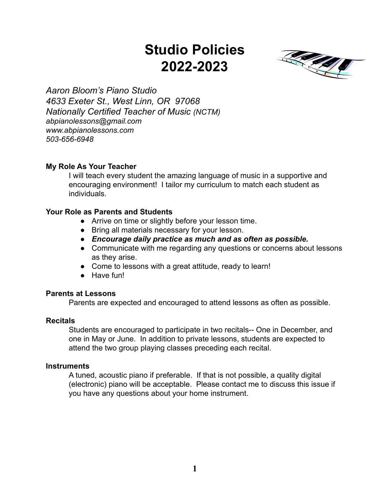# **Studio Policies 2022-2023**



*Aaron Bloom's Piano Studio 4633 Exeter St., West Linn, OR 97068 Nationally Certified Teacher of Music (NCTM) abpianolessons@gmail.com www.abpianolessons.com 503-656-6948*

#### **My Role As Your Teacher**

I will teach every student the amazing language of music in a supportive and encouraging environment! I tailor my curriculum to match each student as individuals.

# **Your Role as Parents and Students**

- Arrive on time or slightly before your lesson time.
- Bring all materials necessary for your lesson.
- *● Encourage daily practice as much and as often as possible.*
- Communicate with me regarding any questions or concerns about lessons as they arise.
- Come to lessons with a great attitude, ready to learn!
- Have fun!

#### **Parents at Lessons**

Parents are expected and encouraged to attend lessons as often as possible.

#### **Recitals**

Students are encouraged to participate in two recitals-- One in December, and one in May or June. In addition to private lessons, students are expected to attend the two group playing classes preceding each recital.

#### **Instruments**

A tuned, acoustic piano if preferable. If that is not possible, a quality digital (electronic) piano will be acceptable. Please contact me to discuss this issue if you have any questions about your home instrument.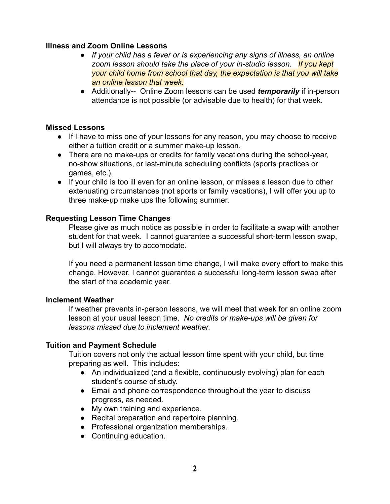#### **Illness and Zoom Online Lessons**

- *● If your child has a fever or is experiencing any signs of illness, an online zoom lesson should take the place of your in-studio lesson. If you kept your child home from school that day, the expectation is that you will take an online lesson that week.*
- Additionally-- Online Zoom lessons can be used *temporarily* if in-person attendance is not possible (or advisable due to health) for that week.

# **Missed Lessons**

- If I have to miss one of your lessons for any reason, you may choose to receive either a tuition credit or a summer make-up lesson.
- There are no make-ups or credits for family vacations during the school-year, no-show situations, or last-minute scheduling conflicts (sports practices or games, etc.).
- If your child is too ill even for an online lesson, or misses a lesson due to other extenuating circumstances (not sports or family vacations), I will offer you up to three make-up make ups the following summer.

# **Requesting Lesson Time Changes**

Please give as much notice as possible in order to facilitate a swap with another student for that week. I cannot guarantee a successful short-term lesson swap, but I will always try to accomodate.

If you need a permanent lesson time change, I will make every effort to make this change. However, I cannot guarantee a successful long-term lesson swap after the start of the academic year.

#### **Inclement Weather**

If weather prevents in-person lessons, we will meet that week for an online zoom lesson at your usual lesson time. *No credits or make-ups will be given for lessons missed due to inclement weather.*

#### **Tuition and Payment Schedule**

Tuition covers not only the actual lesson time spent with your child, but time preparing as well. This includes:

- An individualized (and a flexible, continuously evolving) plan for each student's course of study.
- Email and phone correspondence throughout the year to discuss progress, as needed.
- My own training and experience.
- Recital preparation and repertoire planning.
- Professional organization memberships.
- Continuing education.